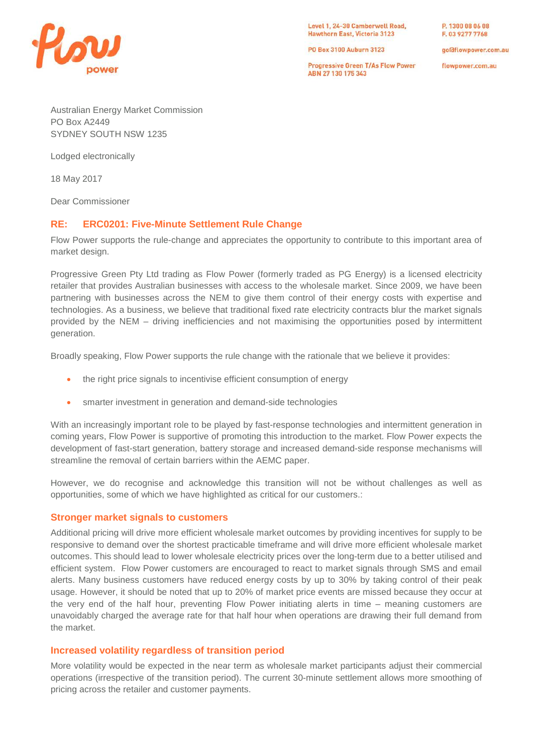

Level 1, 24-30 Camberwell Road, Hawthorn East, Victoria 3123

PO Box 3100 Auburn 3123

**Progressive Green T/As Flow Power** ABN 27 130 175 343

P. 1300 08 06 08 F. 03 9277 7768

goldflowpower.com.au

flowpower.com.au

Australian Energy Market Commission PO Box A2449 SYDNEY SOUTH NSW 1235

Lodged electronically

18 May 2017

Dear Commissioner

## **RE: ERC0201: Five-Minute Settlement Rule Change**

Flow Power supports the rule-change and appreciates the opportunity to contribute to this important area of market design.

Progressive Green Pty Ltd trading as Flow Power (formerly traded as PG Energy) is a licensed electricity retailer that provides Australian businesses with access to the wholesale market. Since 2009, we have been partnering with businesses across the NEM to give them control of their energy costs with expertise and technologies. As a business, we believe that traditional fixed rate electricity contracts blur the market signals provided by the NEM – driving inefficiencies and not maximising the opportunities posed by intermittent generation.

Broadly speaking, Flow Power supports the rule change with the rationale that we believe it provides:

- the right price signals to incentivise efficient consumption of energy
- smarter investment in generation and demand-side technologies

With an increasingly important role to be played by fast-response technologies and intermittent generation in coming years, Flow Power is supportive of promoting this introduction to the market. Flow Power expects the development of fast-start generation, battery storage and increased demand-side response mechanisms will streamline the removal of certain barriers within the AEMC paper.

However, we do recognise and acknowledge this transition will not be without challenges as well as opportunities, some of which we have highlighted as critical for our customers.:

### **Stronger market signals to customers**

Additional pricing will drive more efficient wholesale market outcomes by providing incentives for supply to be responsive to demand over the shortest practicable timeframe and will drive more efficient wholesale market outcomes. This should lead to lower wholesale electricity prices over the long-term due to a better utilised and efficient system. Flow Power customers are encouraged to react to market signals through SMS and email alerts. Many business customers have reduced energy costs by up to 30% by taking control of their peak usage. However, it should be noted that up to 20% of market price events are missed because they occur at the very end of the half hour, preventing Flow Power initiating alerts in time – meaning customers are unavoidably charged the average rate for that half hour when operations are drawing their full demand from the market.

### **Increased volatility regardless of transition period**

More volatility would be expected in the near term as wholesale market participants adjust their commercial operations (irrespective of the transition period). The current 30-minute settlement allows more smoothing of pricing across the retailer and customer payments.